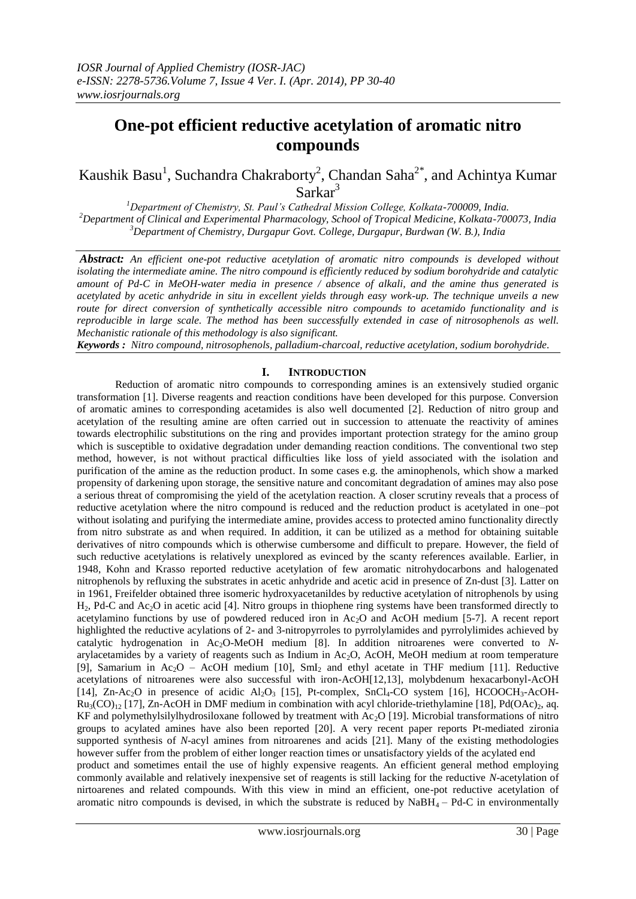# **One-pot efficient reductive acetylation of aromatic nitro compounds**

Kaushik Basu<sup>1</sup>, Suchandra Chakraborty<sup>2</sup>, Chandan Saha<sup>2\*</sup>, and Achintya Kumar Sarkar<sup>3</sup>

*<sup>1</sup>Department of Chemistry, St. Paul's Cathedral Mission College, Kolkata-700009, India. <sup>2</sup>Department of Clinical and Experimental Pharmacology, School of Tropical Medicine, Kolkata-700073, India <sup>3</sup>Department of Chemistry, Durgapur Govt. College, Durgapur, Burdwan (W. B.), India*

*Abstract: An efficient one-pot reductive acetylation of aromatic nitro compounds is developed without isolating the intermediate amine. The nitro compound is efficiently reduced by sodium borohydride and catalytic amount of Pd-C in MeOH-water media in presence / absence of alkali, and the amine thus generated is acetylated by acetic anhydride in situ in excellent yields through easy work-up. The technique unveils a new route for direct conversion of synthetically accessible nitro compounds to acetamido functionality and is reproducible in large scale. The method has been successfully extended in case of nitrosophenols as well. Mechanistic rationale of this methodology is also significant.*

*Keywords : Nitro compound, nitrosophenols, palladium-charcoal, reductive acetylation, sodium borohydride.*

## **I. INTRODUCTION**

Reduction of aromatic nitro compounds to corresponding amines is an extensively studied organic transformation [1]. Diverse reagents and reaction conditions have been developed for this purpose. Conversion of aromatic amines to corresponding acetamides is also well documented [2]. Reduction of nitro group and acetylation of the resulting amine are often carried out in succession to attenuate the reactivity of amines towards electrophilic substitutions on the ring and provides important protection strategy for the amino group which is susceptible to oxidative degradation under demanding reaction conditions. The conventional two step method, however, is not without practical difficulties like loss of yield associated with the isolation and purification of the amine as the reduction product. In some cases e.g. the aminophenols, which show a marked propensity of darkening upon storage, the sensitive nature and concomitant degradation of amines may also pose a serious threat of compromising the yield of the acetylation reaction. A closer scrutiny reveals that a process of reductive acetylation where the nitro compound is reduced and the reduction product is acetylated in one–pot without isolating and purifying the intermediate amine, provides access to protected amino functionality directly from nitro substrate as and when required. In addition, it can be utilized as a method for obtaining suitable derivatives of nitro compounds which is otherwise cumbersome and difficult to prepare. However, the field of such reductive acetylations is relatively unexplored as evinced by the scanty references available. Earlier, in 1948, Kohn and Krasso reported reductive acetylation of few aromatic nitrohydocarbons and halogenated nitrophenols by refluxing the substrates in acetic anhydride and acetic acid in presence of Zn-dust [3]. Latter on in 1961, Freifelder obtained three isomeric hydroxyacetanildes by reductive acetylation of nitrophenols by using  $H_2$ , Pd-C and Ac<sub>2</sub>O in acetic acid [4]. Nitro groups in thiophene ring systems have been transformed directly to acetylamino functions by use of powdered reduced iron in  $Ac<sub>2</sub>O$  and AcOH medium [5-7]. A recent report highlighted the reductive acylations of 2- and 3-nitropyrroles to pyrrolylamides and pyrrolylimides achieved by catalytic hydrogenation in Ac<sub>2</sub>O-MeOH medium [8]. In addition nitroarenes were converted to *N*arylacetamides by a variety of reagents such as Indium in Ac<sub>2</sub>O, AcOH, MeOH medium at room temperature [9], Samarium in Ac<sub>2</sub>O – AcOH medium [10], SmI<sub>2</sub> and ethyl acetate in THF medium [11]. Reductive acetylations of nitroarenes were also successful with iron-AcOH[12,13], molybdenum hexacarbonyl-AcOH [14], Zn-Ac<sub>2</sub>O in presence of acidic Al<sub>2</sub>O<sub>3</sub> [15], Pt-complex, SnCl<sub>4</sub>-CO system [16], HCOOCH<sub>3</sub>-AcOH- $Ru_3(CO)_{12}$  [17], Zn-AcOH in DMF medium in combination with acyl chloride-triethylamine [18], Pd(OAc)<sub>2</sub>, aq. KF and polymethylsilylhydrosiloxane followed by treatment with Ac2O [19]. Microbial transformations of nitro groups to acylated amines have also been reported [20]. A very recent paper reports Pt-mediated zironia supported synthesis of *N*-acyl amines from nitroarenes and acids [21]. Many of the existing methodologies however suffer from the problem of either longer reaction times or unsatisfactory yields of the acylated end product and sometimes entail the use of highly expensive reagents. An efficient general method employing commonly available and relatively inexpensive set of reagents is still lacking for the reductive *N*-acetylation of nirtoarenes and related compounds. With this view in mind an efficient, one-pot reductive acetylation of aromatic nitro compounds is devised, in which the substrate is reduced by  $NABH<sub>4</sub> - Pd-C$  in environmentally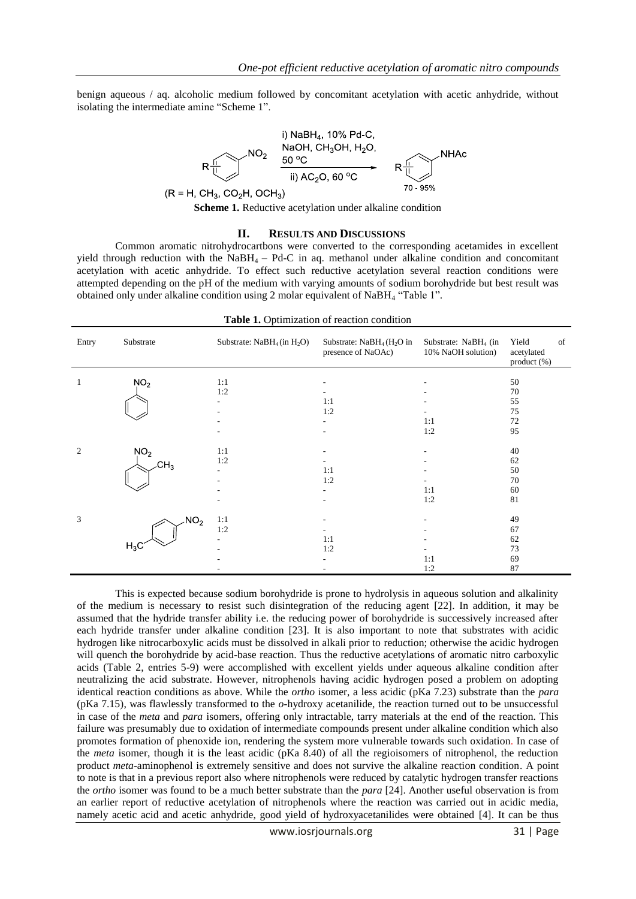benign aqueous / aq. alcoholic medium followed by concomitant acetylation with acetic anhydride, without isolating the intermediate amine "Scheme 1".



#### **II. RESULTS AND DISCUSSIONS**

Common aromatic nitrohydrocartbons were converted to the corresponding acetamides in excellent yield through reduction with the NaBH4 – Pd-C in aq. methanol under alkaline condition and concomitant acetylation with acetic anhydride. To effect such reductive acetylation several reaction conditions were attempted depending on the pH of the medium with varying amounts of sodium borohydride but best result was obtained only under alkaline condition using 2 molar equivalent of NaBH<sub>4</sub> "Table 1".

| Table 1. Optimization of reaction condition |                 |                                      |                                                   |                                                   |                                          |  |  |  |
|---------------------------------------------|-----------------|--------------------------------------|---------------------------------------------------|---------------------------------------------------|------------------------------------------|--|--|--|
| Entry                                       | Substrate       | Substrate: $N$ aB $H_4$ (in $H_2O$ ) | Substrate: $NaBH4 (H2O)$ in<br>presence of NaOAc) | Substrate: $N$ aB $H_4$ (in<br>10% NaOH solution) | Yield<br>of<br>acetylated<br>product (%) |  |  |  |
| 1                                           | NO <sub>2</sub> | 1:1<br>1:2                           |                                                   |                                                   | 50<br>70                                 |  |  |  |
|                                             |                 |                                      | 1:1<br>1:2                                        |                                                   | 55<br>75                                 |  |  |  |
|                                             |                 |                                      |                                                   | 1:1<br>1:2                                        | 72<br>95                                 |  |  |  |
| 2                                           | NO <sub>2</sub> | 1:1<br>1:2                           |                                                   |                                                   | 40<br>62                                 |  |  |  |
|                                             | CH <sub>3</sub> |                                      | 1:1<br>1:2                                        |                                                   | 50<br>70                                 |  |  |  |
|                                             |                 |                                      |                                                   | 1:1<br>1:2                                        | 60<br>81                                 |  |  |  |
| 3                                           | NO <sub>2</sub> | 1:1                                  |                                                   |                                                   | 49                                       |  |  |  |
|                                             | $H_3C$          | 1:2                                  | 1:1<br>1:2                                        |                                                   | 67<br>62<br>73                           |  |  |  |
|                                             |                 |                                      |                                                   | 1:1<br>1:2                                        | 69<br>87                                 |  |  |  |

This is expected because sodium borohydride is prone to hydrolysis in aqueous solution and alkalinity of the medium is necessary to resist such disintegration of the reducing agent [22]. In addition, it may be assumed that the hydride transfer ability i.e. the reducing power of borohydride is successively increased after each hydride transfer under alkaline condition [23]. It is also important to note that substrates with acidic hydrogen like nitrocarboxylic acids must be dissolved in alkali prior to reduction; otherwise the acidic hydrogen will quench the borohydride by acid-base reaction. Thus the reductive acetylations of aromatic nitro carboxylic acids (Table 2, entries 5-9) were accomplished with excellent yields under aqueous alkaline condition after neutralizing the acid substrate. However, nitrophenols having acidic hydrogen posed a problem on adopting identical reaction conditions as above. While the *ortho* isomer, a less acidic (pKa 7.23) substrate than the *para*  (pKa 7.15), was flawlessly transformed to the *o*-hydroxy acetanilide, the reaction turned out to be unsuccessful in case of the *meta* and *para* isomers, offering only intractable, tarry materials at the end of the reaction. This failure was presumably due to oxidation of intermediate compounds present under alkaline condition which also promotes formation of phenoxide ion, rendering the system more vulnerable towards such oxidation. In case of the *meta* isomer, though it is the least acidic (pKa 8.40) of all the regioisomers of nitrophenol, the reduction product *meta*-aminophenol is extremely sensitive and does not survive the alkaline reaction condition. A point to note is that in a previous report also where nitrophenols were reduced by catalytic hydrogen transfer reactions the *ortho* isomer was found to be a much better substrate than the *para* [24]. Another useful observation is from an earlier report of reductive acetylation of nitrophenols where the reaction was carried out in acidic media, namely acetic acid and acetic anhydride, good yield of hydroxyacetanilides were obtained [4]. It can be thus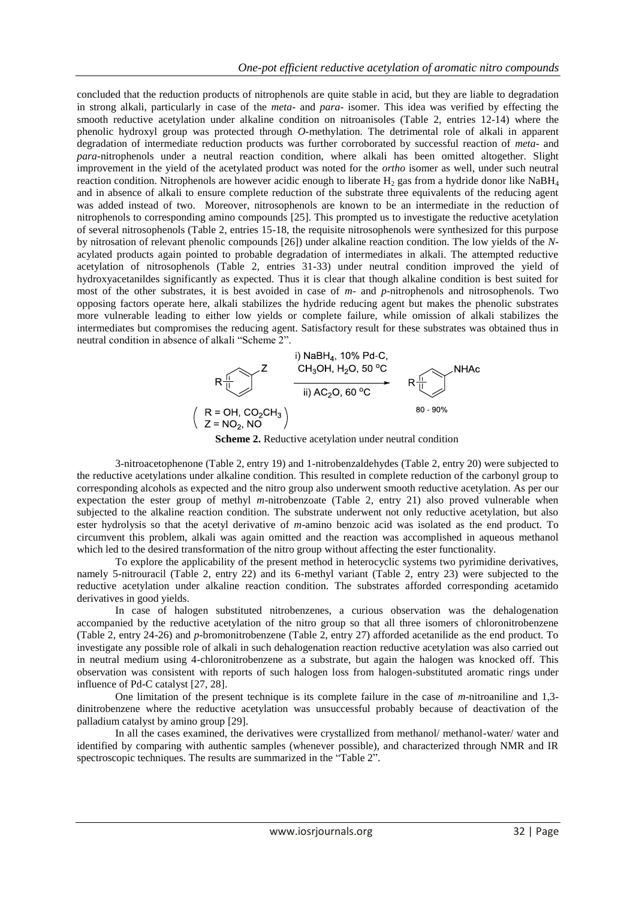concluded that the reduction products of nitrophenols are quite stable in acid, but they are liable to degradation in strong alkali, particularly in case of the *meta*- and *para*- isomer. This idea was verified by effecting the smooth reductive acetylation under alkaline condition on nitroanisoles (Table 2, entries 12-14) where the phenolic hydroxyl group was protected through *O-*methylation. The detrimental role of alkali in apparent degradation of intermediate reduction products was further corroborated by successful reaction of *meta-* and *para-*nitrophenols under a neutral reaction condition, where alkali has been omitted altogether. Slight improvement in the yield of the acetylated product was noted for the *ortho* isomer as well, under such neutral reaction condition. Nitrophenols are however acidic enough to liberate  $H_2$  gas from a hydride donor like NaBH<sub>4</sub> and in absence of alkali to ensure complete reduction of the substrate three equivalents of the reducing agent was added instead of two. Moreover, nitrosophenols are known to be an intermediate in the reduction of nitrophenols to corresponding amino compounds [25]. This prompted us to investigate the reductive acetylation of several nitrosophenols (Table 2, entries 15-18, the requisite nitrosophenols were synthesized for this purpose by nitrosation of relevant phenolic compounds [26]) under alkaline reaction condition. The low yields of the *N*acylated products again pointed to probable degradation of intermediates in alkali. The attempted reductive acetylation of nitrosophenols (Table 2, entries 31-33) under neutral condition improved the yield of hydroxyacetanildes significantly as expected. Thus it is clear that though alkaline condition is best suited for most of the other substrates, it is best avoided in case of *m*- and *p*-nitrophenols and nitrosophenols. Two opposing factors operate here, alkali stabilizes the hydride reducing agent but makes the phenolic substrates more vulnerable leading to either low yields or complete failure, while omission of alkali stabilizes the intermediates but compromises the reducing agent. Satisfactory result for these substrates was obtained thus in neutral condition in absence of alkali "Scheme 2".



**Scheme 2.** Reductive acetylation under neutral condition

3-nitroacetophenone (Table 2, entry 19) and 1-nitrobenzaldehydes (Table 2, entry 20) were subjected to the reductive acetylations under alkaline condition. This resulted in complete reduction of the carbonyl group to corresponding alcohols as expected and the nitro group also underwent smooth reductive acetylation. As per our expectation the ester group of methyl *m*-nitrobenzoate (Table 2, entry 21) also proved vulnerable when subjected to the alkaline reaction condition. The substrate underwent not only reductive acetylation, but also ester hydrolysis so that the acetyl derivative of *m*-amino benzoic acid was isolated as the end product. To circumvent this problem, alkali was again omitted and the reaction was accomplished in aqueous methanol which led to the desired transformation of the nitro group without affecting the ester functionality.

To explore the applicability of the present method in heterocyclic systems two pyrimidine derivatives, namely 5-nitrouracil (Table 2, entry 22) and its 6-methyl variant (Table 2, entry 23) were subjected to the reductive acetylation under alkaline reaction condition. The substrates afforded corresponding acetamido derivatives in good yields.

In case of halogen substituted nitrobenzenes, a curious observation was the dehalogenation accompanied by the reductive acetylation of the nitro group so that all three isomers of chloronitrobenzene (Table 2, entry 24-26) and *p*-bromonitrobenzene (Table 2, entry 27) afforded acetanilide as the end product. To investigate any possible role of alkali in such dehalogenation reaction reductive acetylation was also carried out in neutral medium using 4-chloronitrobenzene as a substrate, but again the halogen was knocked off. This observation was consistent with reports of such halogen loss from halogen-substituted aromatic rings under influence of Pd-C catalyst [27, 28].

One limitation of the present technique is its complete failure in the case of *m*-nitroaniline and 1,3 dinitrobenzene where the reductive acetylation was unsuccessful probably because of deactivation of the palladium catalyst by amino group [29].

In all the cases examined, the derivatives were crystallized from methanol/ methanol-water/ water and identified by comparing with authentic samples (whenever possible), and characterized through NMR and IR spectroscopic techniques. The results are summarized in the "Table 2".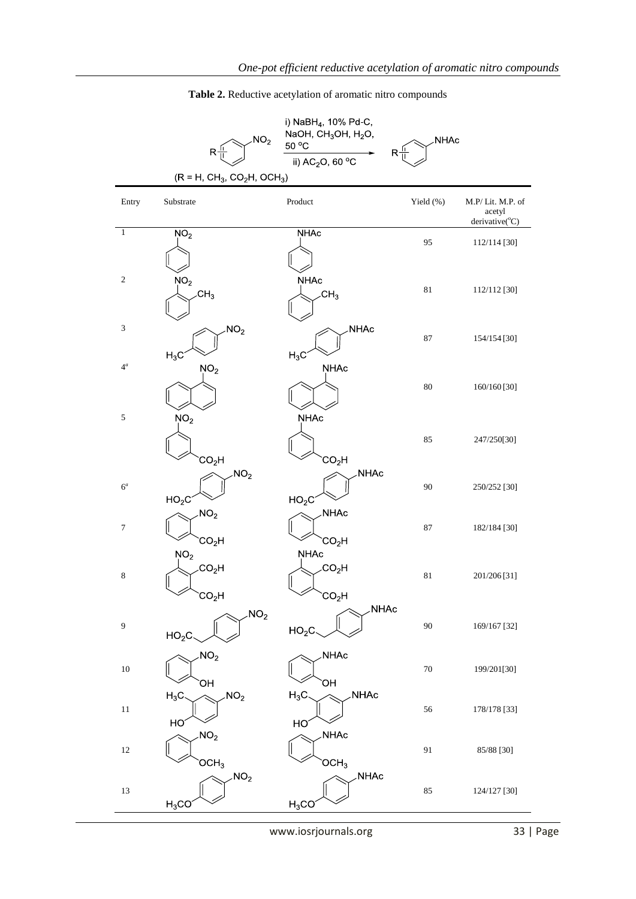*One-pot efficient reductive acetylation of aromatic nitro compounds*

|                               | NO <sub>2</sub>                                           | NaOH, $CH3OH$ , $H2O$ ,<br>50 °C                      | NHAc      |                                              |  |  |  |
|-------------------------------|-----------------------------------------------------------|-------------------------------------------------------|-----------|----------------------------------------------|--|--|--|
|                               | R <sup>3</sup>                                            | $R_1$<br>ii) AC <sub>2</sub> O, 60 °C                 |           |                                              |  |  |  |
| $(R = H, CH_3, CO_2H, OCH_3)$ |                                                           |                                                       |           |                                              |  |  |  |
| Entry                         | Substrate                                                 | Product                                               | Yield (%) | M.P/Lit. M.P. of<br>acetyl<br>derivative(°C) |  |  |  |
| $\mathbf{1}$                  | NO <sub>2</sub>                                           | <b>NHAc</b>                                           | 95        | 112/114 [30]                                 |  |  |  |
| $\sqrt{2}$                    | NO <sub>2</sub><br>CH <sub>3</sub>                        | <b>NHAc</b><br>CH <sub>3</sub>                        | $81\,$    | 112/112 [30]                                 |  |  |  |
| $\ensuremath{\mathfrak{Z}}$   | NO <sub>2</sub><br>$H_3C$                                 | NHAc<br>$H_3C$                                        | 87        | 154/154 [30]                                 |  |  |  |
| $4^a$                         | NO <sub>2</sub>                                           | NHAc                                                  | 80        | 160/160 [30]                                 |  |  |  |
| $\sqrt{5}$                    | NO <sub>2</sub><br>CO <sub>2</sub> H                      | NHAc<br>CO <sub>2</sub> H                             | 85        | 247/250[30]                                  |  |  |  |
| $6^a$                         | NO <sub>2</sub><br>HO <sub>2</sub> C                      | NHAc<br>HO <sub>2</sub> C                             | 90        | 250/252 [30]                                 |  |  |  |
| $\boldsymbol{7}$              | NO <sub>2</sub><br>CO <sub>2</sub> H                      | NHAc<br>CO <sub>2</sub> H                             | 87        | 182/184 [30]                                 |  |  |  |
| $\,$ 8 $\,$                   | NO <sub>2</sub><br>CO <sub>2</sub> H<br>CO <sub>2</sub> H | <b>NHAc</b><br>CO <sub>2</sub> H<br>CO <sub>2</sub> H | $81\,$    | 201/206 [31]                                 |  |  |  |
| $\boldsymbol{9}$              | NO <sub>2</sub><br>HO <sub>2</sub> C                      | NHAc<br>HO <sub>2</sub> C                             | 90        | 169/167 [32]                                 |  |  |  |
| $10\,$                        | NO <sub>2</sub><br>ЮH                                     | NHAc<br>ЮH                                            | $70\,$    | 199/201[30]                                  |  |  |  |
| 11                            | NO <sub>2</sub><br>$H_3C$<br>HO                           | $H_3C$<br><b>NHAc</b><br>HO                           | 56        | 178/178 [33]                                 |  |  |  |
| $12\,$                        | NO <sub>2</sub><br>OCH <sub>3</sub>                       | NHAc<br>OCH <sub>3</sub>                              | 91        | 85/88 [30]                                   |  |  |  |
| 13                            | NO <sub>2</sub><br>$H_3CO$                                | NHAc<br>$H_3CO$                                       | 85        | 124/127 [30]                                 |  |  |  |

**Table 2.** Reductive acetylation of aromatic nitro compounds

www.iosrjournals.org 33 | Page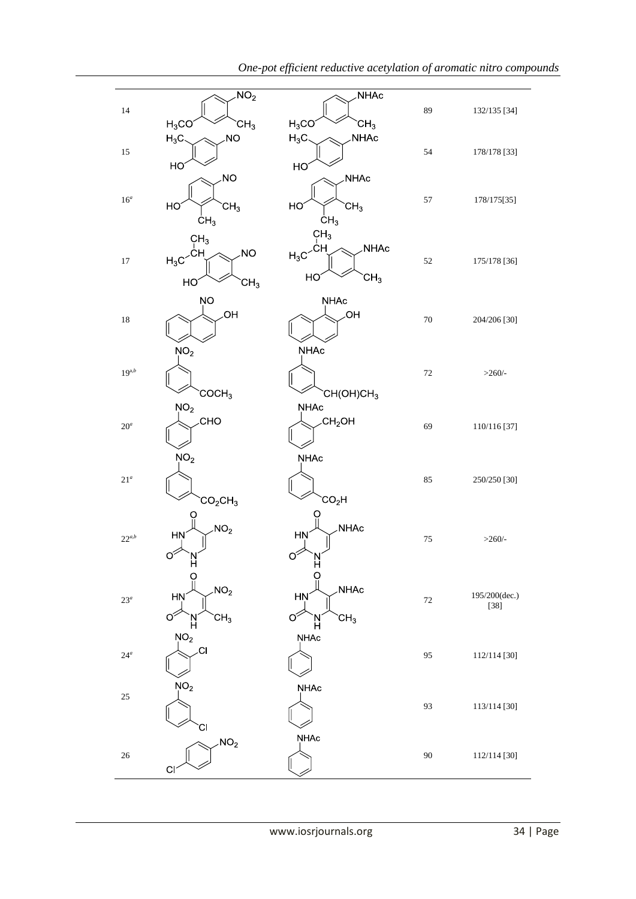|                       | NO <sub>2</sub>                                                                            | NHAc                                                                    |        |                         |
|-----------------------|--------------------------------------------------------------------------------------------|-------------------------------------------------------------------------|--------|-------------------------|
| 14                    | $H_3CO$<br>CH <sub>3</sub>                                                                 | $H_3CO$<br>CH <sub>3</sub>                                              | 89     | 132/135 [34]            |
| 15                    | <b>NO</b><br>$H_3C$<br>HO                                                                  | NHAc<br>$H_3C$<br>HO                                                    | 54     | 178/178 [33]            |
| $16^a$                | <b>NO</b><br>HO<br>CH <sub>3</sub><br>CH <sub>3</sub>                                      | NHAc<br>HO<br>CH <sub>3</sub><br>CH <sub>3</sub>                        | 57     | 178/175[35]             |
| $17\,$                | CH <sub>3</sub><br>$H_3C$ <sup>CH</sup><br><b>NO</b><br>HO <sub>.</sub><br>$\mathsf{CH}_3$ | CH <sub>3</sub><br><b>NHAc</b><br>CН<br>$H_3C$<br>HO<br>CH <sub>3</sub> | 52     | 175/178 [36]            |
| 18                    | ŅO<br>OH.<br>NO <sub>2</sub>                                                               | <b>NHAc</b><br>ЮH<br><b>NHAc</b>                                        | $70\,$ | 204/206 [30]            |
| $19^{a,b}$            | COCH <sub>3</sub>                                                                          | CH(OH)CH <sub>3</sub>                                                   | 72     | $>260/-$                |
| $20^a$                | NO <sub>2</sub><br>CHO                                                                     | <b>NHAc</b><br>CH <sub>2</sub> OH                                       | 69     | 110/116 [37]            |
| $21^a$                | NO <sub>2</sub><br>CO <sub>2</sub> CH <sub>3</sub>                                         | <b>NHAc</b><br>CO <sub>2</sub> H                                        | 85     | 250/250 [30]            |
| $22^{\mathfrak{a},b}$ | NO <sub>2</sub><br>HŅ<br>$\circ$<br>H<br>O                                                 | <b>NHAc</b><br><b>HN</b><br>$\circ$<br>N<br>H<br>O                      | $75\,$ | $>260/-$                |
| $23^a$                | NO <sub>2</sub><br><b>HN</b><br>$\circ$<br>CH <sub>3</sub><br>N<br>H                       | <b>NHAc</b><br>HN<br>ố<br>CH <sub>3</sub><br>'N<br>H                    | 72     | 195/200(dec.)<br>$[38]$ |
| $24^a$                | NO <sub>2</sub><br>.CI                                                                     | NHAc                                                                    | 95     | 112/114 [30]            |
| $25\,$                | NO <sub>2</sub><br>СI                                                                      | NHAc                                                                    | 93     | 113/114 [30]            |
| $26\,$                | NO <sub>2</sub><br>$\overline{C}$                                                          | <b>NHAc</b>                                                             | 90     | 112/114 [30]            |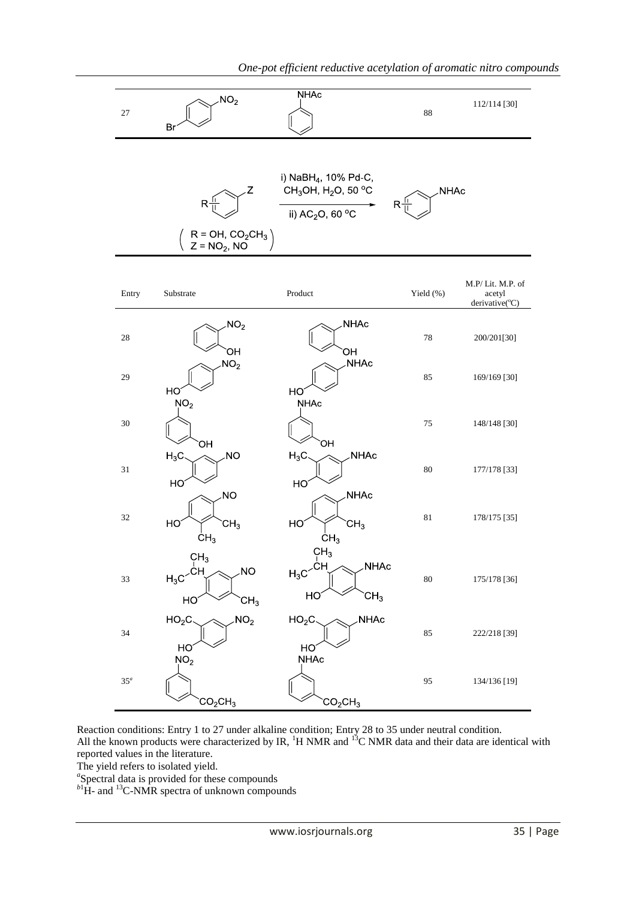

Reaction conditions: Entry 1 to 27 under alkaline condition; Entry 28 to 35 under neutral condition. All the known products were characterized by IR,  ${}^{1}H$  NMR and  ${}^{13}C$  NMR data and their data are identical with reported values in the literature.

The yield refers to isolated yield.

<sup>a</sup>Spectral data is provided for these compounds

<sup>b1</sup>H- and <sup>13</sup>C-NMR spectra of unknown compounds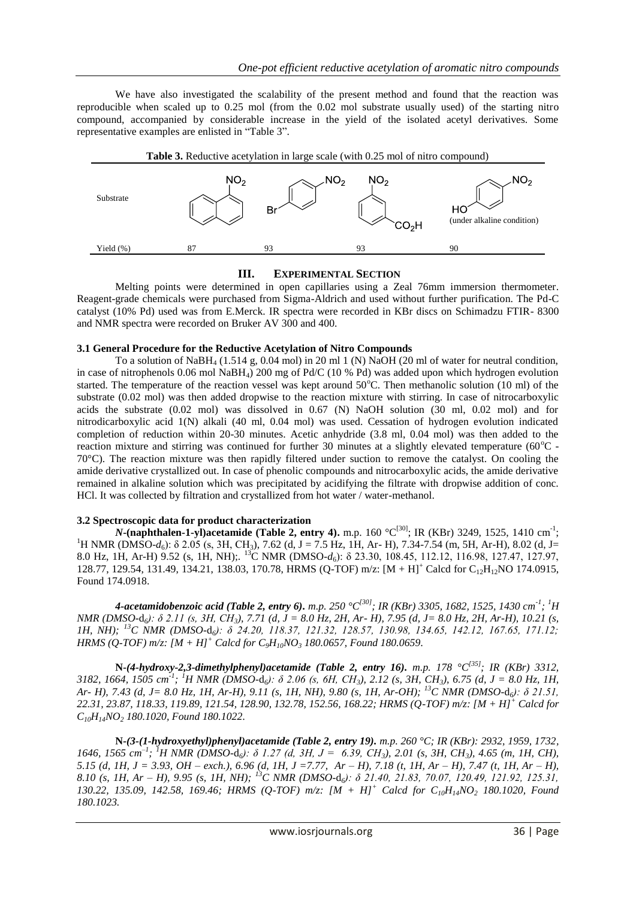We have also investigated the scalability of the present method and found that the reaction was reproducible when scaled up to 0.25 mol (from the 0.02 mol substrate usually used) of the starting nitro compound, accompanied by considerable increase in the yield of the isolated acetyl derivatives. Some representative examples are enlisted in "Table 3".



## **III. EXPERIMENTAL SECTION**

Melting points were determined in open capillaries using a Zeal 76mm immersion thermometer. Reagent-grade chemicals were purchased from Sigma-Aldrich and used without further purification. The Pd-C catalyst (10% Pd) used was from E.Merck. IR spectra were recorded in KBr discs on Schimadzu FTIR- 8300 and NMR spectra were recorded on Bruker AV 300 and 400.

## **3.1 General Procedure for the Reductive Acetylation of Nitro Compounds**

To a solution of NaBH<sup>4</sup> (1.514 g, 0.04 mol) in 20 ml 1 (N) NaOH (20 ml of water for neutral condition, in case of nitrophenols 0.06 mol NaBH4) 200 mg of Pd/C (10 % Pd) was added upon which hydrogen evolution started. The temperature of the reaction vessel was kept around  $50^{\circ}$ C. Then methanolic solution (10 ml) of the substrate (0.02 mol) was then added dropwise to the reaction mixture with stirring. In case of nitrocarboxylic acids the substrate (0.02 mol) was dissolved in 0.67 (N) NaOH solution (30 ml, 0.02 mol) and for nitrodicarboxylic acid 1(N) alkali (40 ml, 0.04 mol) was used. Cessation of hydrogen evolution indicated completion of reduction within 20-30 minutes. Acetic anhydride (3.8 ml, 0.04 mol) was then added to the reaction mixture and stirring was continued for further 30 minutes at a slightly elevated temperature ( $60^{\circ}$ C -70°C). The reaction mixture was then rapidly filtered under suction to remove the catalyst. On cooling the amide derivative crystallized out. In case of phenolic compounds and nitrocarboxylic acids, the amide derivative remained in alkaline solution which was precipitated by acidifying the filtrate with dropwise addition of conc. HCl. It was collected by filtration and crystallized from hot water / water-methanol.

## **3.2 Spectroscopic data for product characterization**

*N***-(naphthalen-1-yl)acetamide (Table 2, entry 4).** m.p. 160 °C<sup>[30]</sup>; IR (KBr) 3249, 1525, 1410 cm<sup>-1</sup>; <sup>1</sup>H NMR (DMSO- $d_6$ ): δ 2.05 (s, 3H, CH<sub>3</sub>), 7.62 (d, J = 7.5 Hz, 1H, Ar- H), 7.34-7.54 (m, 5H, Ar-H), 8.02 (d, J= 8.0 Hz, 1H, Ar-H) 9.52 (s, 1H, NH);. <sup>13</sup>C NMR (DMSO-*d*6): δ 23.30, 108.45, 112.12, 116.98, 127.47, 127.97, 128.77, 129.54, 131.49, 134.21, 138.03, 170.78, HRMS (Q-TOF) m/z:  $[M + H]$ <sup>+</sup> Calcd for C<sub>12</sub>H<sub>12</sub>NO 174.0915, Found 174.0918.

*4-acetamidobenzoic acid (Table 2, entry 6). m.p. 250 °C[30]; IR (KBr) 3305, 1682, 1525, 1430 cm-1 ; <sup>1</sup>H NMR (DMSO-*d*6): δ 2.11 (s, 3H, CH3), 7.71 (d, J = 8.0 Hz, 2H, Ar- H), 7.95 (d, J= 8.0 Hz, 2H, Ar-H), 10.21 (s, 1H, NH); <sup>13</sup>C NMR (DMSO-*d*6): δ 24.20, 118.37, 121.32, 128.57, 130.98, 134.65, 142.12, 167.65, 171.12; HRMS (Q-TOF) m/z: [M + H]<sup>+</sup> Calcd for C9H10NO<sup>3</sup> 180.0657, Found 180.0659.*

**N***-(4-hydroxy-2,3-dimethylphenyl)acetamide (Table 2, entry 16). m.p. 178 °C[35]; IR (KBr) 3312, 3182, 1664, 1505 cm-1 ; <sup>1</sup>H NMR (DMSO-*d*6): δ 2.06 (s, 6H, CH3), 2.12 (s, 3H, CH3), 6.75 (d, J = 8.0 Hz, 1H, Ar- H), 7.43 (d, J= 8.0 Hz, 1H, Ar-H), 9.11 (s, 1H, NH), 9.80 (s, 1H, Ar-OH); <sup>13</sup>C NMR (DMSO-*d*6): δ 21.51, 22.31, 23.87, 118.33, 119.89, 121.54, 128.90, 132.78, 152.56, 168.22; HRMS (Q-TOF) m/z: [M + H]<sup>+</sup> Calcd for C10H14NO<sup>2</sup> 180.1020, Found 180.1022.*

**N***-(3-(1-hydroxyethyl)phenyl)acetamide (Table 2, entry 19). m.p. 260 °C; IR (KBr): 2932, 1959, 1732, 1646, 1565 cm–1 ; <sup>1</sup>H NMR (DMSO-*d*6): δ 1.27 (d, 3H, J = 6.39, CH3), 2.01 (s, 3H, CH3), 4.65 (m, 1H, CH), 5.15 (d, 1H, J = 3.93, OH – exch.), 6.96 (d, 1H, J =7.77, Ar – H), 7.18 (t, 1H, Ar – H), 7.47 (t, 1H, Ar – H), 8.10 (s, 1H, Ar – H), 9.95 (s, 1H, NH); <sup>13</sup>C NMR (DMSO-*d*6): δ 21.40, 21.83, 70.07, 120.49, 121.92, 125.31, 130.22, 135.09, 142.58, 169.46; HRMS (Q-TOF) m/z: [M + H]<sup>+</sup> Calcd for C10H14NO<sup>2</sup> 180.1020, Found 180.1023.*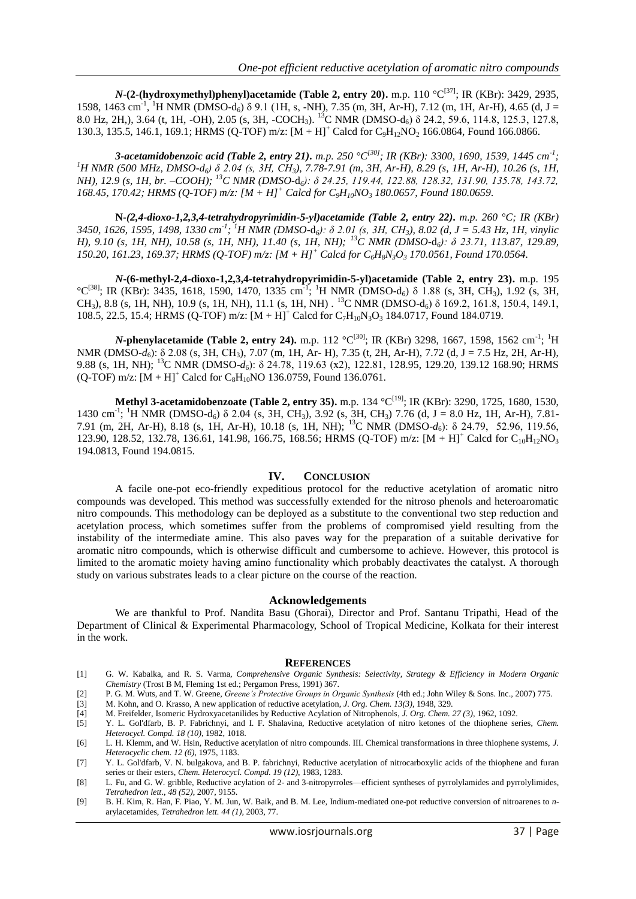*N***-(2-(hydroxymethyl)phenyl)acetamide (Table 2, entry 20).** m.p. 110  $\mathrm{C}^{[37]}$ ; IR (KBr): 3429, 2935, 1598, 1463 cm<sup>-1</sup>, <sup>1</sup>H NMR (DMSO-d<sub>6</sub>) δ 9.1 (1H, s, -NH<sub>2</sub>), 7.35 (m, 3H, Ar-H), 7.12 (m, 1H, Ar-H), 4.65 (d, J = 8.0 Hz, 2H,), 3.64 (t, 1H, -OH), 2.05 (s, 3H, -COCH<sub>3</sub>). <sup>13</sup>C NMR (DMSO-d<sub>6</sub>) δ 24.2, 59.6, 114.8, 125.3, 127.8, 130.3, 135.5, 146.1, 169.1; HRMS (Q-TOF) m/z:  $[M + H]^+$  Calcd for  $C_9H_{12}NO_2$  166.0864, Found 166.0866.

*3-acetamidobenzoic acid (Table 2, entry 21). m.p. 250 °C[30]; IR (KBr): 3300, 1690, 1539, 1445 cm-1 ; <sup>1</sup>H NMR (500 MHz, DMSO-d6) δ 2.04 (s, 3H, CH3), 7.78-7.91 (m, 3H, Ar-H), 8.29 (s, 1H, Ar-H), 10.26 (s, 1H, NH), 12.9 (s, 1H, br. –COOH); <sup>13</sup>C NMR (DMSO-*d*6): δ 24.25, 119.44, 122.88, 128.32, 131.90, 135.78, 143.72, 168.45, 170.42; HRMS (Q-TOF) m/z: [M + H]<sup>+</sup> Calcd for C9H10NO<sup>3</sup> 180.0657, Found 180.0659.*

**N***-(2,4-dioxo-1,2,3,4-tetrahydropyrimidin-5-yl)acetamide (Table 2, entry 22). m.p. 260 °C; IR (KBr) 3450, 1626, 1595, 1498, 1330 cm-1 ; <sup>1</sup>H NMR (DMSO-*d*6): δ 2.01 (s, 3H, CH3), 8.02 (d, J = 5.43 Hz, 1H, vinylic H), 9.10 (s, 1H, NH), 10.58 (s, 1H, NH), 11.40 (s, 1H, NH); <sup>13</sup>C NMR (DMSO-*d*6): δ 23.71, 113.87, 129.89, 150.20, 161.23, 169.37; HRMS (Q-TOF) m/z: [M + H]<sup>+</sup> Calcd for C6H8N3O<sup>3</sup> 170.0561, Found 170.0564.*

*N***-(6-methyl-2,4-dioxo-1,2,3,4-tetrahydropyrimidin-5-yl)acetamide (Table 2, entry 23).** m.p. 195 <sup>°</sup>C<sup>[38]</sup>; IR (KBr): 3435, 1618, 1590, 1470, 1335 cm<sup>-1</sup>; <sup>1</sup>H NMR (DMSO-d<sub>6</sub>) δ 1.88 (s, 3H, CH<sub>3</sub>), 1.92 (s, 3H, CH<sub>3</sub>), 8.8 (s, 1H, NH), 10.9 (s, 1H, NH), 11.1 (s, 1H, NH) . <sup>13</sup>C NMR (DMSO-d<sub>6</sub>) δ 169.2, 161.8, 150.4, 149.1, 108.5, 22.5, 15.4; HRMS (Q-TOF) m/z:  $[M + H]^+$  Calcd for  $C_7H_{10}N_3O_3$  184.0717, Found 184.0719.

*N*-phenylacetamide (Table 2, entry 24). m.p. 112 °C<sup>[30]</sup>; IR (KBr) 3298, 1667, 1598, 1562 cm<sup>-1</sup>; <sup>1</sup>H NMR (DMSO-*d*<sub>6</sub>): δ 2.08 (s, 3H, CH<sub>3</sub>), 7.07 (m, 1H, Ar- H), 7.35 (t, 2H, Ar-H), 7.72 (d, J = 7.5 Hz, 2H, Ar-H), 9.88 (s, 1H, NH); <sup>13</sup>C NMR (DMSO-*d*6): δ 24.78, 119.63 (x2), 122.81, 128.95, 129.20, 139.12 168.90; HRMS (Q-TOF) m/z:  $[M + H]^+$  Calcd for  $C_8H_{10}NO$  136.0759, Found 136.0761.

**Methyl 3-acetamidobenzoate (Table 2, entry 35).** m.p. 134 °C<sup>[19]</sup>; IR (KBr): 3290, 1725, 1680, 1530, 1430 cm<sup>-1</sup>; <sup>1</sup>H NMR (DMSO-d<sub>6</sub>)  $\delta$  2.04 (s, 3H, CH<sub>3</sub>), 3.92 (s, 3H, CH<sub>3</sub>) 7.76 (d, J = 8.0 Hz, 1H, Ar-H), 7.81-7.91 (m, 2H, Ar-H), 8.18 (s, 1H, Ar-H), 10.18 (s, 1H, NH); <sup>13</sup>C NMR (DMSO-*d*6): δ 24.79, 52.96, 119.56, 123.90, 128.52, 132.78, 136.61, 141.98, 166.75, 168.56; HRMS (Q-TOF) m/z:  $[M + H]^+$  Calcd for C<sub>10</sub>H<sub>12</sub>NO<sub>3</sub> 194.0813, Found 194.0815.

#### **IV. CONCLUSION**

A facile one-pot eco-friendly expeditious protocol for the reductive acetylation of aromatic nitro compounds was developed. This method was successfully extended for the nitroso phenols and heteroaromatic nitro compounds. This methodology can be deployed as a substitute to the conventional two step reduction and acetylation process, which sometimes suffer from the problems of compromised yield resulting from the instability of the intermediate amine. This also paves way for the preparation of a suitable derivative for aromatic nitro compounds, which is otherwise difficult and cumbersome to achieve. However, this protocol is limited to the aromatic moiety having amino functionality which probably deactivates the catalyst. A thorough study on various substrates leads to a clear picture on the course of the reaction.

#### **Acknowledgements**

We are thankful to Prof. Nandita Basu (Ghorai), Director and Prof. Santanu Tripathi, Head of the Department of Clinical & Experimental Pharmacology, School of Tropical Medicine, Kolkata for their interest in the work.

#### **REFERENCES**

- [1] G. W. Kabalka, and R. S. Varma, *Comprehensive Organic Synthesis: Selectivity, Strategy & Efficiency in Modern Organic Chemistry* (Trost B M, Fleming 1st ed.; Pergamon Press, 1991) 367.
- [2] P. G. M. Wuts, and T. W. Greene, *Greene's Protective Groups in Organic Synthesis* (4th ed.; John Wiley & Sons. Inc., 2007) 775.
- [3] M. Kohn, and O. Krasso, A new application of reductive acetylation, *J. Org. Chem. 13(3)*, 1948, 329.
- [4] M. Freifelder, Isomeric Hydroxyacetanilides by Reductive Acylation of Nitrophenols, *J. Org. Chem. 27 (3)*, 1962, 1092.
- [5] Y. L. Gol'dfarb, B. P. Fabrichnyi, and I. F. Shalavina, [Reductive acetylation of nitro ketones of the thiophene series,](http://link.springer.com/article/10.1007/BF00503182) *Chem. Heterocycl. Compd. 18 (10)*, 1982, 1018.
- [6] L. H. Klemm, and W. Hsin, Reductive acetylation of nitro compounds. III. Chemical transformations in three thiophene systems, *J. Heterocyclic chem. 12 (6)*, 1975, 1183.
- [7] Y. L. Gol'dfarb, V. N. bulgakova, and B. P. fabrichnyi, Reductive acetylation of nitrocarboxylic acids of the thiophene and furan series or their esters, *Chem. Heterocycl. Compd. 19 (12)*, 1983, 1283.
- [8] L. Fu, and G. W. gribble, Reductive acylation of 2- [and 3-nitropyrroles—efficient syntheses of pyrrolylamides and pyrrolylimides,](http://www.sciencedirect.com/science/article/pii/S0040403907021181) *Tetrahedron lett*., *48 (52)*, 2007, 9155.
- [9] B. H. Kim, R. Han, F. Piao, Y. M. Jun, W. Baik, and B. M. Lee, Indium-mediated one-pot reductive conversion of nitroarenes to *n*arylacetamides, *Tetrahedron lett. 44 (1)*, 2003, 77.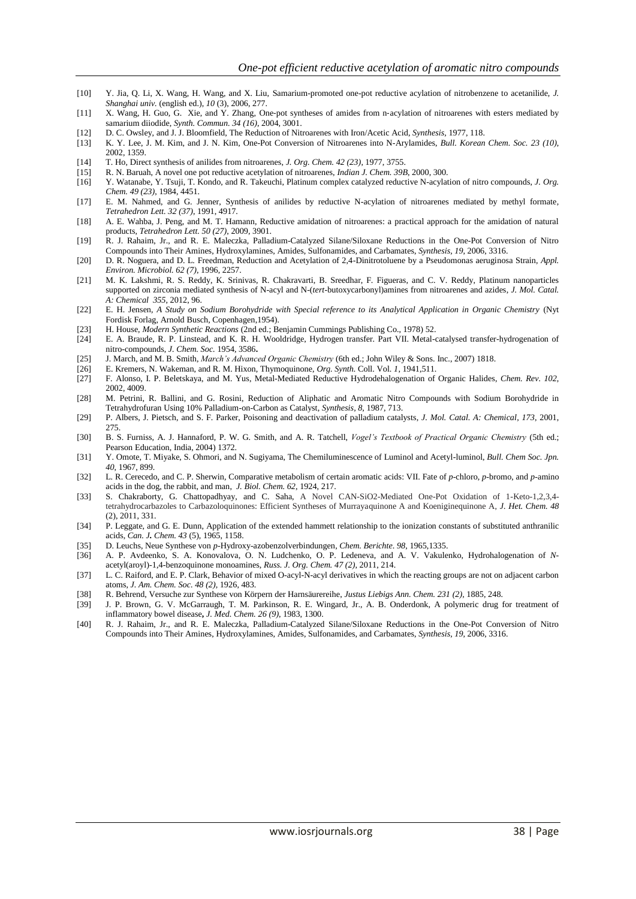- [10] Y. Jia, Q. Li, X. Wang, H. Wang, and X. Liu, Samarium-promoted one-pot reductive acylation of nitrobenzene to acetanilide, *J. Shanghai univ.* (english ed.), *10* (3), 2006, 277.
- [11] X. Wang, H. Guo, G. Xie, and Y. Zhang, One‐pot syntheses of amides from n‐acylation of nitroarenes with esters mediated by samarium diiodide, *Synth. Commun. 34 (16)*, 2004, 3001.
- [12] D. C. Owsley, and J. J. Bloomfield, [The Reduction of Nitroarenes with Iron/Acetic Acid,](https://www.thieme-connect.com/ejournals/abstract/10.1055/s-1977-24290) *Synthesis,* 1977, 118.
- [13] K. Y. Lee, J. M. Kim, and J. N. Kim, One-Pot Conversion of Nitroarenes into N-Arylamides, *Bull. Korean Chem. Soc. 23 (10)*, 2002, 1359.
- [14] T. Ho[, Direct synthesis of anilides from nitroarenes,](http://pubs.acs.org/doi/abs/10.1021/jo00443a028) *J. Org. Chem. 42 (23)*, 1977, 3755.
- 
- [15] R. N. Baruah, A novel one pot reductive acetylation of nitroarenes, *Indian J. Chem. 39B*, 2000, 300. [16] Y. Watanabe, Y. Tsuji, T. Kondo, and R. Takeuchi[, Platinum complex catalyzed reductive N-acylation of nitro compounds,](http://pubs.acs.org/doi/abs/10.1021/jo00197a023) *J. Org. Chem. 49 (23)*, 1984, 4451.
- [17] E. M. Nahmed, and G. Jenner, [Synthesis of anilides by reductive N-acylation of nitroarenes mediated by methyl formate,](http://www.sciencedirect.com/science/article/pii/S0040403900934968) *Tetrahedron Lett. 32 (37)*, 1991, 4917.
- [18] A. E. Wahba, J. Peng, and M. T. Hamann, [Reductive amidation of nitroarenes: a practical approach for the amidation of natural](http://www.sciencedirect.com/science/article/pii/S004040390900882X)  [products,](http://www.sciencedirect.com/science/article/pii/S004040390900882X) *Tetrahedron Lett. 50 (27)*, 2009, 3901.
- [19] R. J. Rahaim, Jr., and R. E. Maleczka, Palladium-Catalyzed Silane/Siloxane Reductions in the One-Pot Conversion of Nitro Compounds into Their Amines, Hydroxylamines, Amides, Sulfonamides, and Carbamates, *Synthesis, 19*, 2006, 3316.
- [20] D. R. Noguera, and D. L. Freedman, Reduction and Acetylation of 2,4-Dinitrotoluene by a Pseudomonas aeruginosa Strain, *Appl. Environ. Microbiol. 62 (7)*, 1996, 2257.
- [21] M. K. Lakshmi, R. S. Reddy, K. Srinivas, R. Chakravarti, B. Sreedhar, F. Figueras, and C. V. Reddy, Platinum nanoparticles supported on zirconia mediated synthesis of N-acyl and N-(*tert*-butoxycarbonyl)amines from nitroarenes and azides, *J. Mol. Catal. A: Chemical 355*, 2012, 96.
- [22] E. H. Jensen, *A Study on Sodium Borohydride with Special reference to its Analytical Application in Organic Chemistry* (Nyt Fordisk Forlag, Arnold Busch, Copenhagen,1954).
- [23] H. House, *Modern Synthetic Reactions* (2nd ed.; Benjamin Cummings Publishing Co., 1978) 52.
- [24] E. A. Braude, R. P. Linstead, and K. R. H. Wooldridge, Hydrogen transfer. Part VII. Metal-catalysed transfer-hydrogenation of nitro-compounds, *J. Chem. Soc.* 1954, 3586**.**
- [25] J. March, and M. B. Smith, *March's Advanced Organic Chemistry* (6th ed.; John Wiley & Sons. Inc., 2007) 1818.
- [26] E. Kremers, N. Wakeman, and R. M. Hixon, Thymoquinone, *Org. Synth.* Coll. Vol. *1*, 1941,511.
- [27] F. Alonso, I. P. Beletskaya, and M. Yus, Metal-Mediated Reductive Hydrodehalogenation of Organic Halides, *Chem. Rev. 102*, 2002, 4009.
- [28] M. Petrini, R. Ballini, and G. Rosini, [Reduction of Aliphatic and Aromatic Nitro Compounds with Sodium Borohydride in](https://www.thieme-connect.com/ejournals/abstract/10.1055/s-1987-28055)  [Tetrahydrofuran Using 10% Palladium-on-Carbon as Catalyst,](https://www.thieme-connect.com/ejournals/abstract/10.1055/s-1987-28055) *Synthesis, 8*, 1987, 713.
- [29] P. Albers, J. Pietsch, and S. F. Parker, [Poisoning and deactivation of palladium catalysts,](http://www.sciencedirect.com/science/article/pii/S1381116901001546) *J. Mol. Catal. A: Chemical, 173*, 2001, 275.
- [30] B. S. Furniss, A. J. Hannaford, P. W. G. Smith, and A. R. Tatchell, *Vogel's Textbook of Practical Organic Chemistry* (5th ed.; Pearson Education, India, 2004) 1372.
- [31] Y. Omote, T. Miyake, S. Ohmori, and N. Sugiyama, The Chemiluminescence of Luminol and Acetyl-luminol, *Bull. Chem Soc. Jpn. 40*, 1967, 899.
- [32] L. R. Cerecedo, and C. P. Sherwin, Comparative metabolism of certain aromatic acids: VII. Fate of *p*-chloro, *p*-bromo, and *p*-amino acids in the dog, the rabbit, and man, *J. Biol. Chem. 62*, 1924, 217.
- [33] S. Chakraborty, G. Chattopadhyay, and C. Saha, A Novel CAN-SiO2-Mediated One-Pot Oxidation of 1-Keto-1,2,3,4tetrahydrocarbazoles to Carbazoloquinones: Efficient Syntheses of Murrayaquinone A and Koeniginequinone A, *J. Het. Chem. 48*  (2), 2011, 331.
- [34] P. Leggate, and G. E. Dunn, Application of the extended hammett relationship to the ionization constants of substituted anthranilic acids, *Can. J. Chem. 43* (5), 1965, 1158.
- [35] D. Leuchs, Neue Synthese von *p*-Hydroxy-azobenzolverbindungen, *Chem. Berichte*. *98*, 1965,1335.
- [36] A. P. Avdeenko, S. A. Konovalova, O. N. Ludchenko, O. P. Ledeneva, and A. V. Vakulenko, Hydrohalogenation of *N*acetyl(aroyl)-1,4-benzoquinone monoamines, *Russ. J. Org. Chem. 47 (2)*, 2011, 214.
- [37] L. C. Raiford, and E. P. Clark[, Behavior of mixed O-acyl-N-acyl derivatives in which the reacting groups are not on adjacent carbon](http://pubs.acs.org/doi/abs/10.1021/ja01413a027)  [atoms,](http://pubs.acs.org/doi/abs/10.1021/ja01413a027) *J. Am. Chem. Soc. 48 (2),* 1926, 483.
- [38] R. Behrend, Versuche zur Synthese von Körpern der Harnsäurereihe, *Justus Liebigs Ann. Chem. 231 (2),* 1885, 248.
- [39] J. P. Brown, G. V. McGarraugh, T. M. Parkinson, R. E. Wingard, Jr., A. B. Onderdonk, [A polymeric drug for treatment of](http://pubs.acs.org/doi/abs/10.1021/jm00363a015)  [inflammatory bowel disease](http://pubs.acs.org/doi/abs/10.1021/jm00363a015)**,** *J. Med. Chem. 26 (9)*, 1983, 1300.
- [40] R. J. Rahaim, Jr., and R. E. Maleczka, Palladium-Catalyzed Silane/Siloxane Reductions in the One-Pot Conversion of Nitro Compounds into Their Amines, Hydroxylamines, Amides, Sulfonamides, and Carbamates, *Synthesis, 19*, 2006, 3316.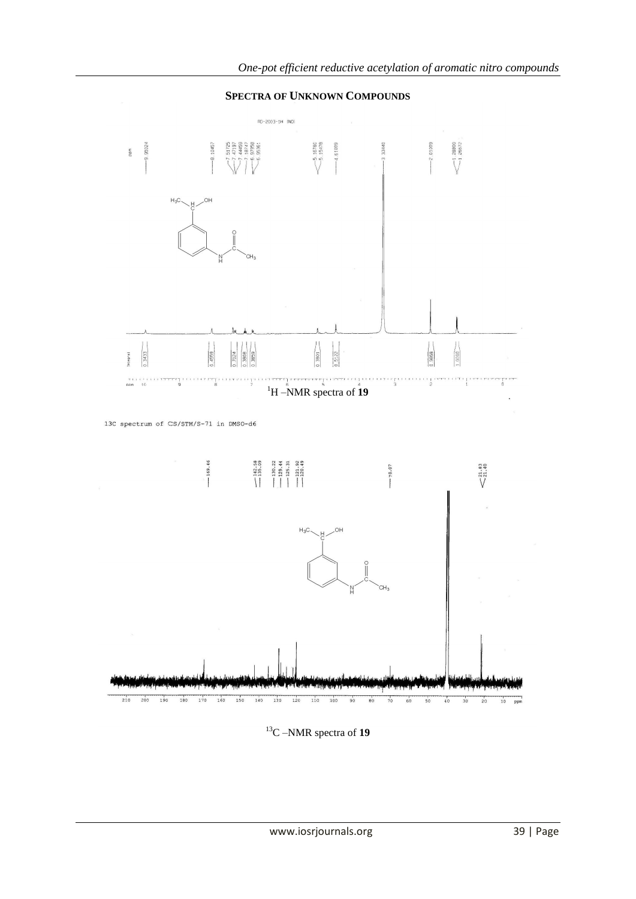

# **SPECTRA OF UNKNOWN COMPOUNDS**